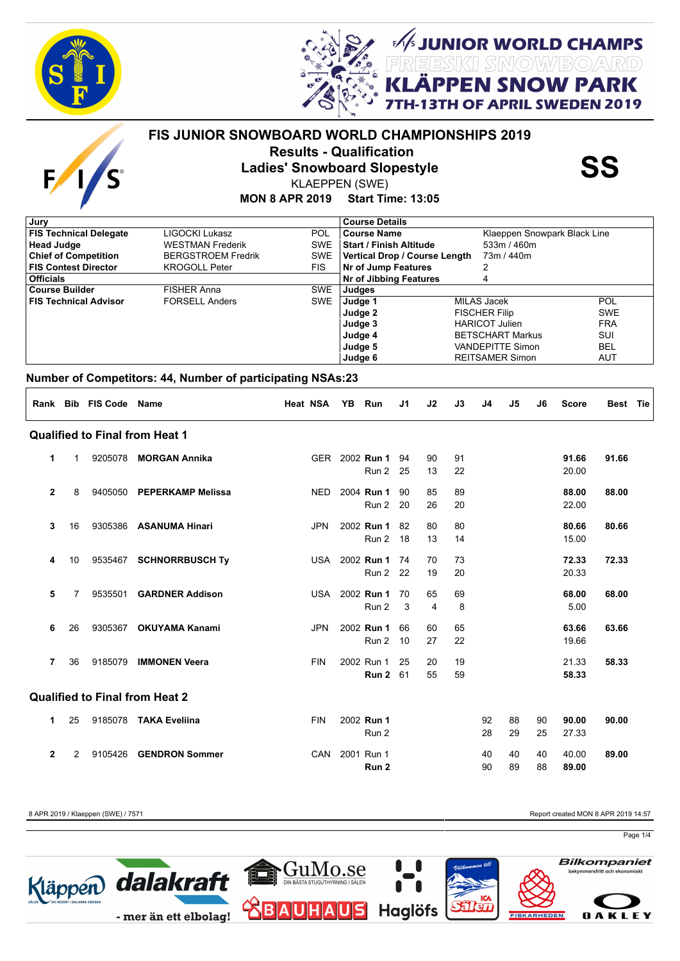

 $\mathbf{F}$ 



*EXAMPER WORLD CHAMPS<br>REESKI SNOWBOARD***<br>LÄPPEN SNOW PARK** 

**APRIL SWEDEN 2019** 

# **FIS JUNIOR SNOWBOARD WORLD CHAMPIONSHIPS 2019 Results - Qualification<br>Ladies' Snowboard Slopestyle<br>KLAEPPEN (SWE)**

KLAEPPEN (SWE)

#### **MON 8 APR 2019 Start Time: 13:05**

| <b>Course Details</b>                            |
|--------------------------------------------------|
| Klaeppen Snowpark Black Line<br>Course Name      |
| <b>Start / Finish Altitude</b><br>533m / 460m    |
| Vertical Drop / Course Length<br>73m / 440m      |
| Nr of Jump Features                              |
| <b>Nr of Jibbing Features</b><br>4               |
| Judges                                           |
| MILAS Jacek<br>POL<br>Judge 1                    |
| Judge 2<br><b>SWE</b><br><b>FISCHER Filip</b>    |
| <b>FRA</b><br>Judge 3<br><b>HARICOT Julien</b>   |
| <b>BETSCHART Markus</b><br>SUI<br>Judge 4        |
| Judge 5<br><b>BEL</b><br><b>VANDEPITTE Simon</b> |
| Judge 6<br>AUT<br><b>REITSAMER Simon</b>         |
|                                                  |

#### **Number of Competitors: 44, Number of participating NSAs:23**

|                |    | Rank Bib FIS Code | <b>Name</b>                           | <b>Heat NSA</b> | YB Run         | J <sub>1</sub> | J2             | J3 | J4 | J5 | J6 | <b>Score</b> | Best Tie |  |
|----------------|----|-------------------|---------------------------------------|-----------------|----------------|----------------|----------------|----|----|----|----|--------------|----------|--|
|                |    |                   | <b>Qualified to Final from Heat 1</b> |                 |                |                |                |    |    |    |    |              |          |  |
| 1              | 1  | 9205078           | <b>MORGAN Annika</b>                  |                 | GER 2002 Run 1 | 94             | 90             | 91 |    |    |    | 91.66        | 91.66    |  |
|                |    |                   |                                       |                 | Run 2          | 25             | 13             | 22 |    |    |    | 20.00        |          |  |
| $\mathbf{2}$   | 8  | 9405050           | <b>PEPERKAMP Melissa</b>              | <b>NED</b>      | 2004 Run 1     | 90             | 85             | 89 |    |    |    | 88.00        | 88.00    |  |
|                |    |                   |                                       |                 | Run 2          | -20            | 26             | 20 |    |    |    | 22.00        |          |  |
| 3              | 16 | 9305386           | <b>ASANUMA Hinari</b>                 | <b>JPN</b>      | 2002 Run 1     | 82             | 80             | 80 |    |    |    | 80.66        | 80.66    |  |
|                |    |                   |                                       |                 | Run 2          | 18             | 13             | 14 |    |    |    | 15.00        |          |  |
| 4              | 10 | 9535467           | <b>SCHNORRBUSCH Ty</b>                | USA             | 2002 Run 1     | 74             | 70             | 73 |    |    |    | 72.33        | 72.33    |  |
|                |    |                   |                                       |                 | Run 2          | 22             | 19             | 20 |    |    |    | 20.33        |          |  |
| 5              | 7  | 9535501           | <b>GARDNER Addison</b>                | <b>USA</b>      | 2002 Run 1     | 70             | 65             | 69 |    |    |    | 68.00        | 68.00    |  |
|                |    |                   |                                       |                 | Run 2          | 3              | $\overline{4}$ | 8  |    |    |    | 5.00         |          |  |
| 6              | 26 | 9305367           | <b>OKUYAMA Kanami</b>                 | <b>JPN</b>      | 2002 Run 1     | 66             | 60             | 65 |    |    |    | 63.66        | 63.66    |  |
|                |    |                   |                                       |                 | Run 2          | 10             | 27             | 22 |    |    |    | 19.66        |          |  |
| 7              | 36 | 9185079           | <b>IMMONEN Veera</b>                  | <b>FIN</b>      | 2002 Run 1     | 25             | 20             | 19 |    |    |    | 21.33        | 58.33    |  |
|                |    |                   |                                       |                 | Run 2          | 61             | 55             | 59 |    |    |    | 58.33        |          |  |
|                |    |                   | <b>Qualified to Final from Heat 2</b> |                 |                |                |                |    |    |    |    |              |          |  |
| 1              | 25 | 9185078           | <b>TAKA Eveliina</b>                  | <b>FIN</b>      | 2002 Run 1     |                |                |    | 92 | 88 | 90 | 90.00        | 90.00    |  |
|                |    |                   |                                       |                 | Run 2          |                |                |    | 28 | 29 | 25 | 27.33        |          |  |
| $\overline{2}$ | 2  | 9105426           | <b>GENDRON Sommer</b>                 | CAN             | 2001 Run 1     |                |                |    | 40 | 40 | 40 | 40.00        | 89.00    |  |
|                |    |                   |                                       |                 | Run 2          |                |                |    | 90 | 89 | 88 | 89.00        |          |  |

8 APR 2019 / Klaeppen (SWE) / 7571 **Report created MON 8 APR 2019 14:57** Report created MON 8 APR 2019 14:57

Page 1/4

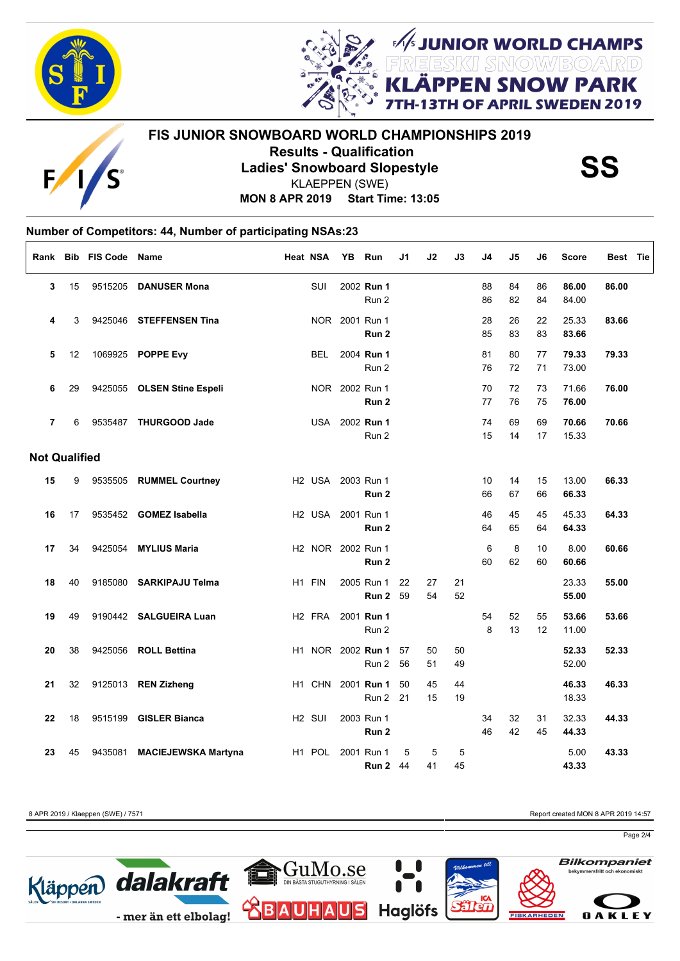

Г



UNIOR WORLD CHAMPS<br>ESKI SMOW/BO/ARD **I SNOW PARK** OF APRIL SWEDEN 2019

## **FIS JUNIOR SNOWBOARD WORLD CHAMPIONSHIPS 2019 Results - Qualification<br>Ladies' Snowboard Slopestyle<br>KLAEPPEN (SWE)** KLAEPPEN (SWE)

**MON 8 APR 2019 Start Time: 13:05**

#### **Number of Competitors: 44, Number of participating NSAs:23**

| Rank                 |    | <b>Bib FIS Code Name</b> |                             | Heat NSA           |            | YB | Run               | J1 | J2 | J3 | J4             | J <sub>5</sub> | J6 | <b>Score</b> | Best Tie |
|----------------------|----|--------------------------|-----------------------------|--------------------|------------|----|-------------------|----|----|----|----------------|----------------|----|--------------|----------|
| 3                    | 15 |                          | 9515205 DANUSER Mona        |                    | <b>SUI</b> |    | 2002 Run 1        |    |    |    | 88             | 84             | 86 | 86.00        | 86.00    |
|                      |    |                          |                             |                    |            |    | Run 2             |    |    |    | 86             | 82             | 84 | 84.00        |          |
| 4                    | 3  |                          | 9425046 STEFFENSEN Tina     |                    |            |    | NOR 2001 Run 1    |    |    |    | 28             | 26             | 22 | 25.33        | 83.66    |
|                      |    |                          |                             |                    |            |    | Run 2             |    |    |    | 85             | 83             | 83 | 83.66        |          |
| 5                    | 12 |                          | 1069925 POPPE Evy           |                    | <b>BEL</b> |    | 2004 Run 1        |    |    |    | 81             | 80             | 77 | 79.33        | 79.33    |
|                      |    |                          |                             |                    |            |    | Run 2             |    |    |    | 76             | 72             | 71 | 73.00        |          |
| 6                    | 29 |                          | 9425055 OLSEN Stine Espeli  |                    |            |    | NOR 2002 Run 1    |    |    |    | 70             | 72             | 73 | 71.66        | 76.00    |
|                      |    |                          |                             |                    |            |    | Run <sub>2</sub>  |    |    |    | 77             | 76             | 75 | 76.00        |          |
| $\overline{7}$       | 6  |                          | 9535487 THURGOOD Jade       |                    |            |    | USA 2002 Run 1    |    |    |    | 74             | 69             | 69 | 70.66        | 70.66    |
|                      |    |                          |                             |                    |            |    | Run 2             |    |    |    | 15             | 14             | 17 | 15.33        |          |
| <b>Not Qualified</b> |    |                          |                             |                    |            |    |                   |    |    |    |                |                |    |              |          |
| 15                   | 9  |                          | 9535505 RUMMEL Courtney     |                    |            |    | H2 USA 2003 Run 1 |    |    |    | 10             | 14             | 15 | 13.00        | 66.33    |
|                      |    |                          |                             |                    |            |    | Run 2             |    |    |    | 66             | 67             | 66 | 66.33        |          |
| 16                   | 17 |                          | 9535452 GOMEZ Isabella      |                    |            |    | H2 USA 2001 Run 1 |    |    |    | 46             | 45             | 45 | 45.33        | 64.33    |
|                      |    |                          |                             |                    |            |    | Run 2             |    |    |    | 64             | 65             | 64 | 64.33        |          |
| 17                   | 34 |                          | 9425054 MYLIUS Maria        |                    |            |    | H2 NOR 2002 Run 1 |    |    |    | $6\phantom{1}$ | 8              | 10 | 8.00         | 60.66    |
|                      |    |                          |                             |                    |            |    | Run <sub>2</sub>  |    |    |    | 60             | 62             | 60 | 60.66        |          |
| 18                   | 40 |                          | 9185080 SARKIPAJU Telma     | H1 FIN             |            |    | 2005 Run 1        | 22 | 27 | 21 |                |                |    | 23.33        | 55.00    |
|                      |    |                          |                             |                    |            |    | Run 2             | 59 | 54 | 52 |                |                |    | 55.00        |          |
| 19                   | 49 |                          | 9190442 SALGUEIRA Luan      | H <sub>2</sub> FRA |            |    | 2001 Run 1        |    |    |    | 54             | 52             | 55 | 53.66        | 53.66    |
|                      |    |                          |                             |                    |            |    | Run 2             |    |    |    | 8              | 13             | 12 | 11.00        |          |
| 20                   | 38 |                          | 9425056 ROLL Bettina        |                    |            |    | H1 NOR 2002 Run 1 | 57 | 50 | 50 |                |                |    | 52.33        | 52.33    |
|                      |    |                          |                             |                    |            |    | Run 2             | 56 | 51 | 49 |                |                |    | 52.00        |          |
| 21                   | 32 |                          | 9125013 REN Zizheng         |                    |            |    | H1 CHN 2001 Run 1 | 50 | 45 | 44 |                |                |    | 46.33        | 46.33    |
|                      |    |                          |                             |                    |            |    | Run 2             | 21 | 15 | 19 |                |                |    | 18.33        |          |
| 22                   | 18 |                          | 9515199 GISLER Bianca       | H <sub>2</sub> SUI |            |    | 2003 Run 1        |    |    |    | 34             | 32             | 31 | 32.33        | 44.33    |
|                      |    |                          |                             |                    |            |    | Run 2             |    |    |    | 46             | 42             | 45 | 44.33        |          |
| 23                   | 45 |                          | 9435081 MACIEJEWSKA Martyna | H1 POL             |            |    | 2001 Run 1        | 5  | 5  | 5  |                |                |    | 5.00         | 43.33    |
|                      |    |                          |                             |                    |            |    | <b>Run 2 44</b>   |    | 41 | 45 |                |                |    | 43.33        |          |

8 APR 2019 / Klaeppen (SWE) / 7571 **Report created MON 8 APR 2019 14:57** Report created MON 8 APR 2019 14:57

Page 2/4

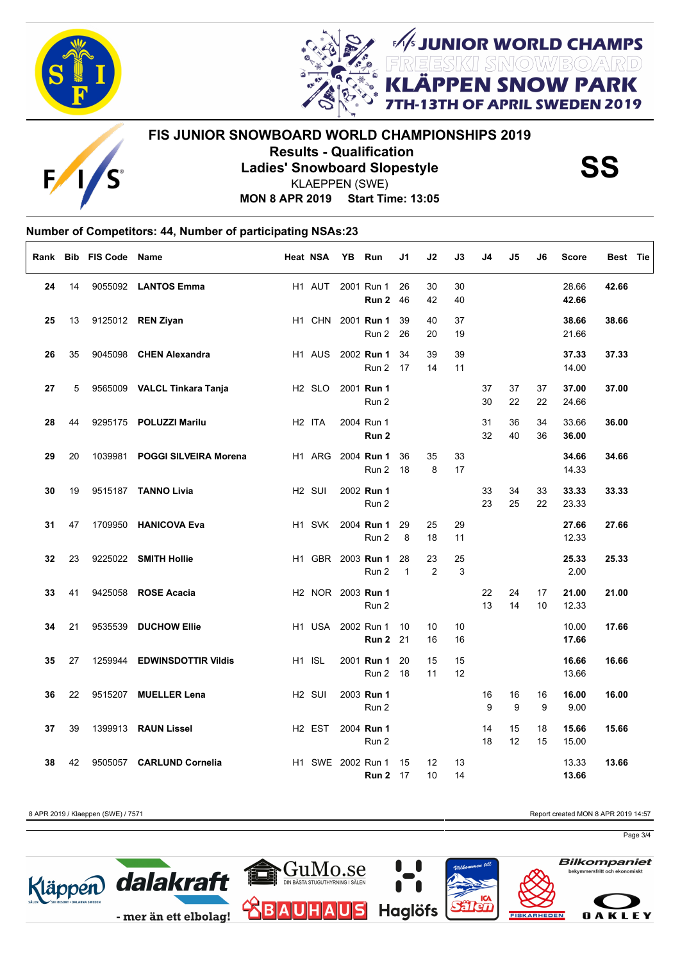

 $\Gamma$ 



FUNIOR WORLD CHAMPS **SNOW PARK** OF APRIL SWEDEN 2019

### **FIS JUNIOR SNOWBOARD WORLD CHAMPIONSHIPS 2019 Results - Qualification<br>Ladies' Snowboard Slopestyle<br>KLAEPPEN (SWE)** KLAEPPEN (SWE)

**MON 8 APR 2019 Start Time: 13:05**

#### **Number of Competitors: 44, Number of participating NSAs:23**

|    |    | Rank Bib FIS Code Name |                              | <b>Heat NSA</b>    | YB Run |                                               | J1                 | J2                    | J3       | J4       | J5       | J6       | <b>Score</b>   | Best Tie |
|----|----|------------------------|------------------------------|--------------------|--------|-----------------------------------------------|--------------------|-----------------------|----------|----------|----------|----------|----------------|----------|
| 24 | 14 |                        | 9055092 LANTOS Emma          | H1 AUT             |        | 2001 Run 1<br>Run 2                           | 26<br>46           | 30<br>42              | 30<br>40 |          |          |          | 28.66<br>42.66 | 42.66    |
| 25 | 13 |                        | 9125012 REN Ziyan            |                    |        | H1 CHN 2001 Run 1<br>Run 2                    | 39<br>26           | 40<br>20              | 37<br>19 |          |          |          | 38.66<br>21.66 | 38.66    |
| 26 | 35 |                        | 9045098 CHEN Alexandra       | H <sub>1</sub> AUS |        | 2002 Run 1<br>Run 2                           | 34<br>17           | 39<br>14              | 39<br>11 |          |          |          | 37.33<br>14.00 | 37.33    |
| 27 | 5  |                        | 9565009 VALCL Tinkara Tanja  | H <sub>2</sub> SLO |        | 2001 Run 1<br>Run 2                           |                    |                       |          | 37<br>30 | 37<br>22 | 37<br>22 | 37.00<br>24.66 | 37.00    |
| 28 | 44 |                        | 9295175 POLUZZI Marilu       | H <sub>2</sub> ITA |        | 2004 Run 1<br>Run 2                           |                    |                       |          | 31<br>32 | 36<br>40 | 34<br>36 | 33.66<br>36.00 | 36.00    |
| 29 | 20 | 1039981                | <b>POGGI SILVEIRA Morena</b> |                    |        | H1 ARG 2004 Run 1<br>Run 2                    | 36<br>- 18         | 35<br>8               | 33<br>17 |          |          |          | 34.66<br>14.33 | 34.66    |
| 30 | 19 |                        | 9515187 TANNO Livia          | H <sub>2</sub> SUI |        | 2002 Run 1<br>Run 2                           |                    |                       |          | 33<br>23 | 34<br>25 | 33<br>22 | 33.33<br>23.33 | 33.33    |
| 31 | 47 |                        | 1709950 HANICOVA Eva         | H <sub>1</sub> SVK |        | 2004 Run 1<br>Run 2                           | 29<br>8            | 25<br>18              | 29<br>11 |          |          |          | 27.66<br>12.33 | 27.66    |
| 32 | 23 |                        | 9225022 SMITH Hollie         |                    |        | H1 GBR 2003 Run 1<br>Run 2                    | 28<br>$\mathbf{1}$ | 23<br>2               | 25<br>3  |          |          |          | 25.33<br>2.00  | 25.33    |
| 33 | 41 |                        | 9425058 ROSE Acacia          |                    |        | H <sub>2</sub> NOR 2003 <b>Run 1</b><br>Run 2 |                    |                       |          | 22<br>13 | 24<br>14 | 17<br>10 | 21.00<br>12.33 | 21.00    |
| 34 | 21 |                        | 9535539 DUCHOW Ellie         |                    |        | H1 USA 2002 Run 1<br><b>Run 2</b> 21          | 10                 | 10 <sup>°</sup><br>16 | 10<br>16 |          |          |          | 10.00<br>17.66 | 17.66    |
| 35 | 27 |                        | 1259944 EDWINSDOTTIR Vildis  | H1 ISL             |        | 2001 Run 1<br>Run 2 18                        | 20                 | 15<br>11              | 15<br>12 |          |          |          | 16.66<br>13.66 | 16.66    |
| 36 | 22 |                        | 9515207 MUELLER Lena         | H <sub>2</sub> SUI |        | 2003 Run 1<br>Run 2                           |                    |                       |          | 16<br>9  | 16<br>9  | 16<br>9  | 16.00<br>9.00  | 16.00    |
| 37 | 39 |                        | 1399913 RAUN Lissel          | H <sub>2</sub> EST |        | 2004 Run 1<br>Run 2                           |                    |                       |          | 14<br>18 | 15<br>12 | 18<br>15 | 15.66<br>15.00 | 15.66    |
| 38 | 42 |                        | 9505057 CARLUND Cornelia     |                    |        | H1 SWE 2002 Run 1<br><b>Run 2</b> 17          | 15                 | 12<br>10              | 13<br>14 |          |          |          | 13.33<br>13.66 | 13.66    |

8 APR 2019 / Klaeppen (SWE) / 7571 **Report created MON 8 APR 2019 14:57** Report created MON 8 APR 2019 14:57

Page 3/4